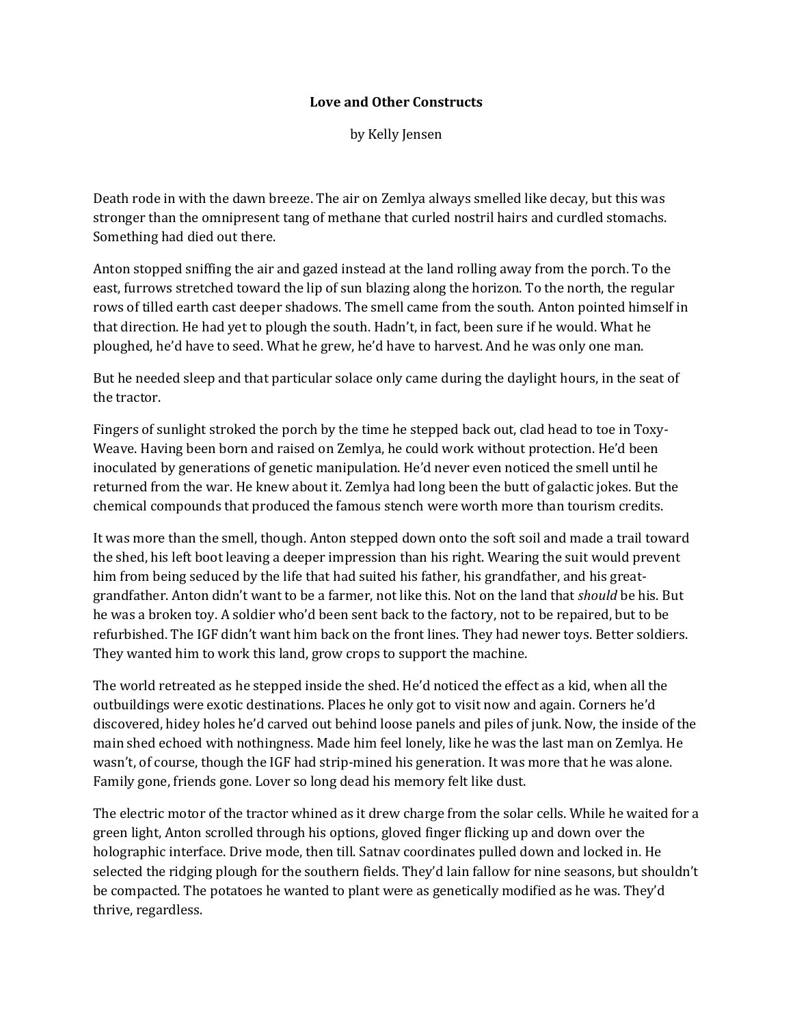## **Love and Other Constructs**

by Kelly Jensen

Death rode in with the dawn breeze. The air on Zemlya always smelled like decay, but this was stronger than the omnipresent tang of methane that curled nostril hairs and curdled stomachs. Something had died out there.

Anton stopped sniffing the air and gazed instead at the land rolling away from the porch. To the east, furrows stretched toward the lip of sun blazing along the horizon. To the north, the regular rows of tilled earth cast deeper shadows. The smell came from the south. Anton pointed himself in that direction. He had yet to plough the south. Hadn't, in fact, been sure if he would. What he ploughed, he'd have to seed. What he grew, he'd have to harvest. And he was only one man.

But he needed sleep and that particular solace only came during the daylight hours, in the seat of the tractor.

Fingers of sunlight stroked the porch by the time he stepped back out, clad head to toe in Toxy-Weave. Having been born and raised on Zemlya, he could work without protection. He'd been inoculated by generations of genetic manipulation. He'd never even noticed the smell until he returned from the war. He knew about it. Zemlya had long been the butt of galactic jokes. But the chemical compounds that produced the famous stench were worth more than tourism credits.

It was more than the smell, though. Anton stepped down onto the soft soil and made a trail toward the shed, his left boot leaving a deeper impression than his right. Wearing the suit would prevent him from being seduced by the life that had suited his father, his grandfather, and his greatgrandfather. Anton didn't want to be a farmer, not like this. Not on the land that *should* be his. But he was a broken toy. A soldier who'd been sent back to the factory, not to be repaired, but to be refurbished. The IGF didn't want him back on the front lines. They had newer toys. Better soldiers. They wanted him to work this land, grow crops to support the machine.

The world retreated as he stepped inside the shed. He'd noticed the effect as a kid, when all the outbuildings were exotic destinations. Places he only got to visit now and again. Corners he'd discovered, hidey holes he'd carved out behind loose panels and piles of junk. Now, the inside of the main shed echoed with nothingness. Made him feel lonely, like he was the last man on Zemlya. He wasn't, of course, though the IGF had strip-mined his generation. It was more that he was alone. Family gone, friends gone. Lover so long dead his memory felt like dust.

The electric motor of the tractor whined as it drew charge from the solar cells. While he waited for a green light, Anton scrolled through his options, gloved finger flicking up and down over the holographic interface. Drive mode, then till. Satnav coordinates pulled down and locked in. He selected the ridging plough for the southern fields. They'd lain fallow for nine seasons, but shouldn't be compacted. The potatoes he wanted to plant were as genetically modified as he was. They'd thrive, regardless.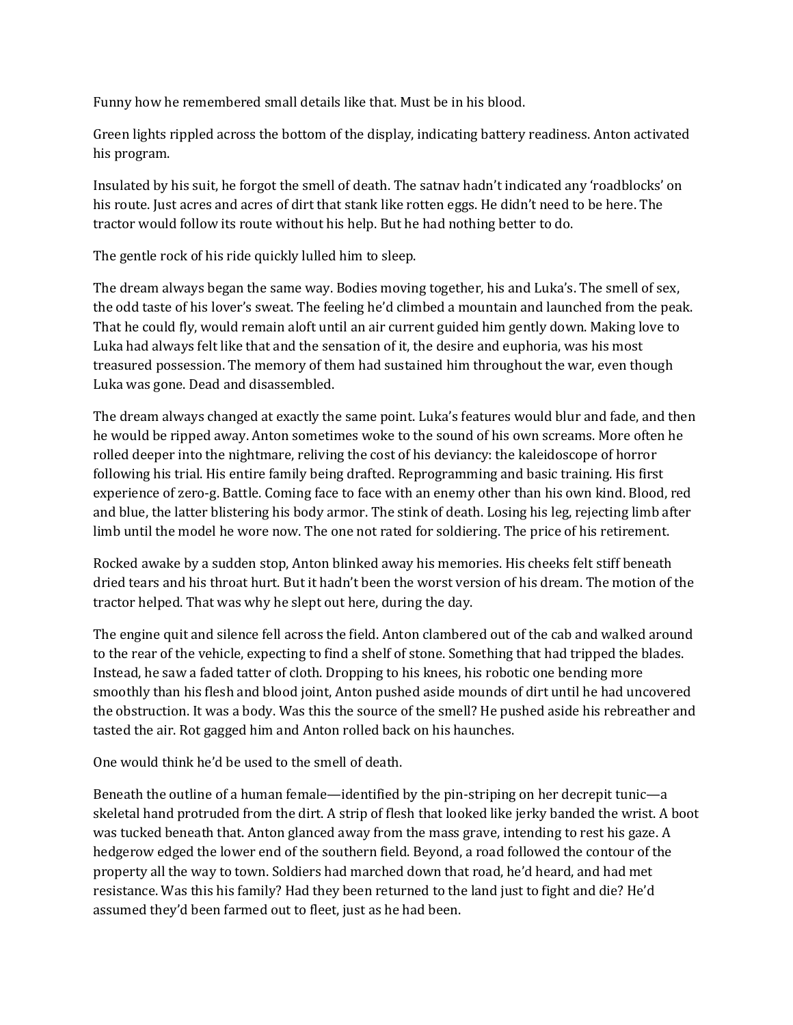Funny how he remembered small details like that. Must be in his blood.

Green lights rippled across the bottom of the display, indicating battery readiness. Anton activated his program.

Insulated by his suit, he forgot the smell of death. The satnav hadn't indicated any 'roadblocks' on his route. Just acres and acres of dirt that stank like rotten eggs. He didn't need to be here. The tractor would follow its route without his help. But he had nothing better to do.

The gentle rock of his ride quickly lulled him to sleep.

The dream always began the same way. Bodies moving together, his and Luka's. The smell of sex, the odd taste of his lover's sweat. The feeling he'd climbed a mountain and launched from the peak. That he could fly, would remain aloft until an air current guided him gently down. Making love to Luka had always felt like that and the sensation of it, the desire and euphoria, was his most treasured possession. The memory of them had sustained him throughout the war, even though Luka was gone. Dead and disassembled.

The dream always changed at exactly the same point. Luka's features would blur and fade, and then he would be ripped away. Anton sometimes woke to the sound of his own screams. More often he rolled deeper into the nightmare, reliving the cost of his deviancy: the kaleidoscope of horror following his trial. His entire family being drafted. Reprogramming and basic training. His first experience of zero-g. Battle. Coming face to face with an enemy other than his own kind. Blood, red and blue, the latter blistering his body armor. The stink of death. Losing his leg, rejecting limb after limb until the model he wore now. The one not rated for soldiering. The price of his retirement.

Rocked awake by a sudden stop, Anton blinked away his memories. His cheeks felt stiff beneath dried tears and his throat hurt. But it hadn't been the worst version of his dream. The motion of the tractor helped. That was why he slept out here, during the day.

The engine quit and silence fell across the field. Anton clambered out of the cab and walked around to the rear of the vehicle, expecting to find a shelf of stone. Something that had tripped the blades. Instead, he saw a faded tatter of cloth. Dropping to his knees, his robotic one bending more smoothly than his flesh and blood joint, Anton pushed aside mounds of dirt until he had uncovered the obstruction. It was a body. Was this the source of the smell? He pushed aside his rebreather and tasted the air. Rot gagged him and Anton rolled back on his haunches.

One would think he'd be used to the smell of death.

Beneath the outline of a human female—identified by the pin-striping on her decrepit tunic—a skeletal hand protruded from the dirt. A strip of flesh that looked like jerky banded the wrist. A boot was tucked beneath that. Anton glanced away from the mass grave, intending to rest his gaze. A hedgerow edged the lower end of the southern field. Beyond, a road followed the contour of the property all the way to town. Soldiers had marched down that road, he'd heard, and had met resistance. Was this his family? Had they been returned to the land just to fight and die? He'd assumed they'd been farmed out to fleet, just as he had been.